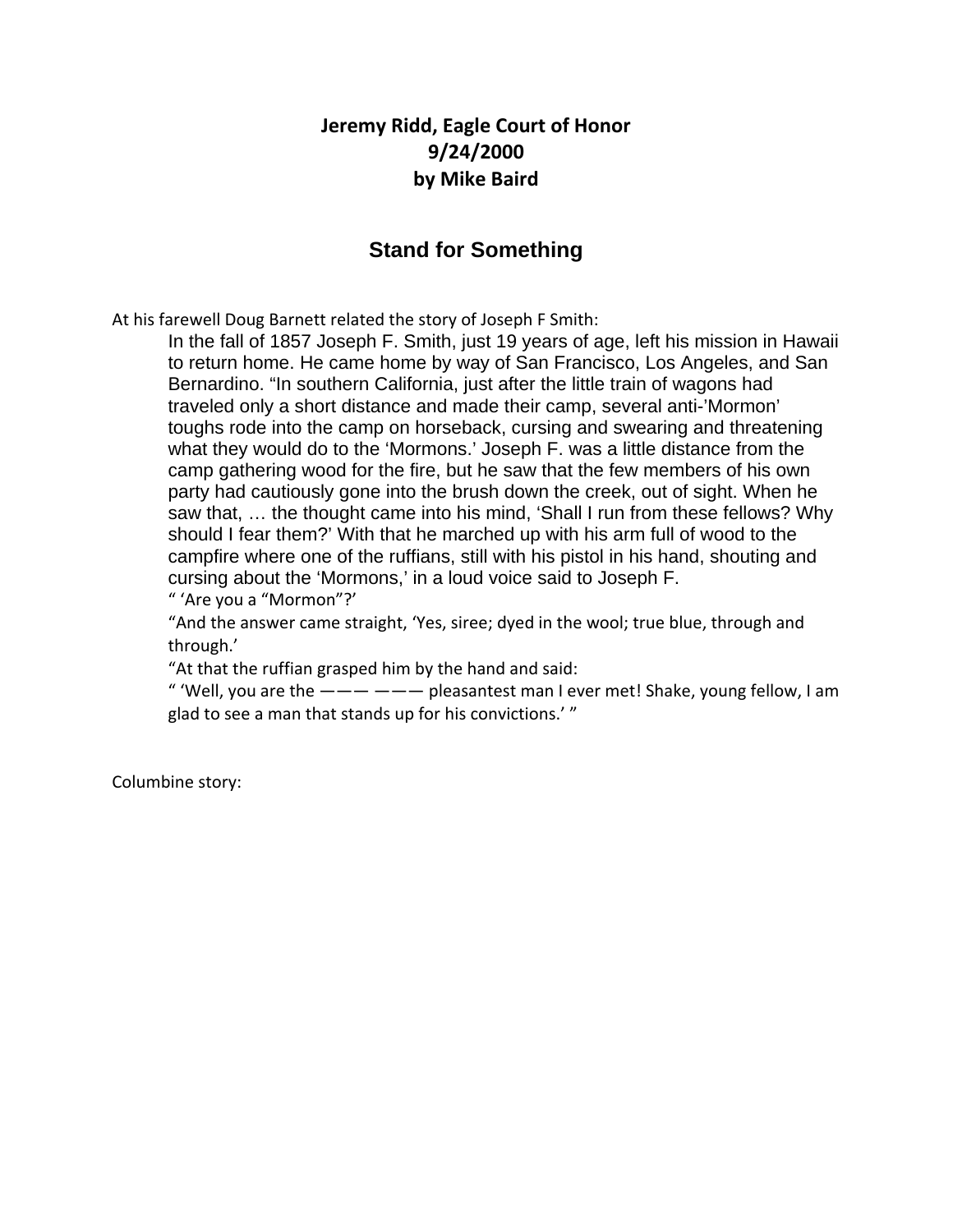## **Jeremy Ridd, Eagle Court of Honor 9/24/2000 by Mike Baird**

## **Stand for Something**

At his farewell Doug Barnett related the story of Joseph F Smith:

In the fall of 1857 Joseph F. Smith, just 19 years of age, left his mission in Hawaii to return home. He came home by way of San Francisco, Los Angeles, and San Bernardino. "In southern California, just after the little train of wagons had traveled only a short distance and made their camp, several anti-'Mormon' toughs rode into the camp on horseback, cursing and swearing and threatening what they would do to the 'Mormons.' Joseph F. was a little distance from the camp gathering wood for the fire, but he saw that the few members of his own party had cautiously gone into the brush down the creek, out of sight. When he saw that, … the thought came into his mind, 'Shall I run from these fellows? Why should I fear them?' With that he marched up with his arm full of wood to the campfire where one of the ruffians, still with his pistol in his hand, shouting and cursing about the 'Mormons,' in a loud voice said to Joseph F.

" 'Are you a "Mormon"?'

"And the answer came straight, 'Yes, siree; dyed in the wool; true blue, through and through.'

"At that the ruffian grasped him by the hand and said:

" 'Well, you are the  $-- ---$  pleasantest man I ever met! Shake, young fellow, I am glad to see a man that stands up for his convictions.' "

Columbine story: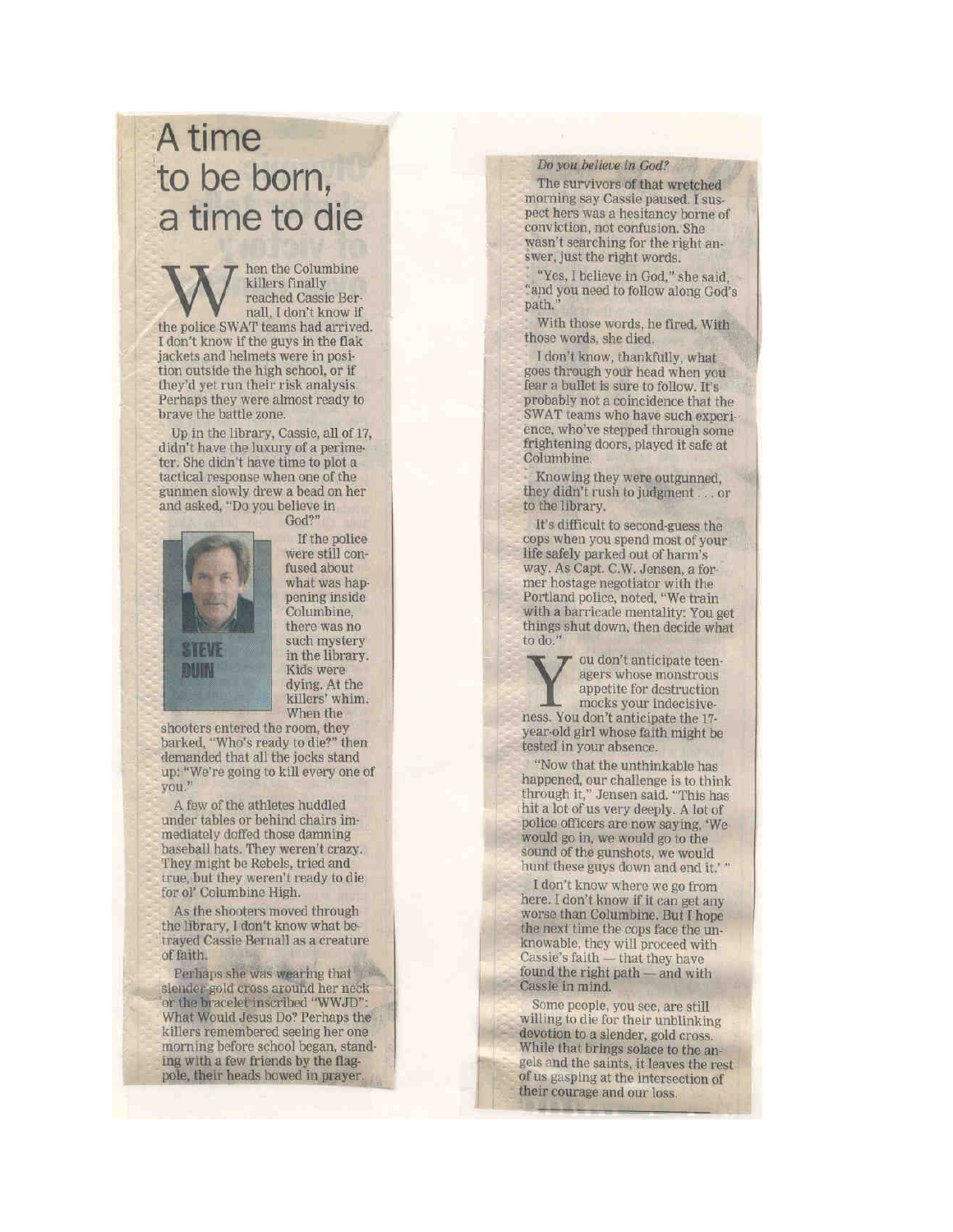## A time to be born, a time to die

hen the Columbine killers finally reached Cassie Bernall. I don't know if the police SWAT teams had arrived. I don't know if the guys in the flak jackets and helmets were in position outside the high school, or if they'd yet run their risk analysis. Perhaps they were almost ready to brave the battle zone.

Up in the library, Cassie, all of 17, didn't have the luxury of a perimeter. She didn't have time to plot a tactical response when one of the gunmen slowly drew a bead on her and asked, "Do you believe in



God?' If the police were still confused about what was happening inside Columbine. there was no such mystery in the library. Kids were dying. At the killers' whim. When the

shooters entered the room, they barked, "Who's ready to die?" then demanded that all the jocks stand up: "We're going to kill every one of you."

A few of the athletes huddled under tables or behind chairs immediately doffed those damning baseball hats. They weren't crazy. They might be Rebels, tried and true, but they weren't ready to die for ol' Columbine High.

As the shooters moved through the library, I don't know what betrayed Cassie Bernall as a creature of faith.

Perhaps she was wearing that slender gold cross around her neck or the bracelet inscribed "WWJD": What Would Jesus Do? Perhaps the killers remembered seeing her one morning before school began, standing with a few friends by the flagpole, their heads bowed in prayer

## Do you believe in God?

The survivors of that wretched morning say Cassie paused. I suspect hers was a hesitancy borne of conviction, not confusion. She wasn't searching for the right answer, just the right words.

"Yes, I believe in God," she said. "and you need to follow along God's path.'

With those words, he fired. With those words, she died.

I don't know, thankfully, what goes through your head when you fear a bullet is sure to follow. It's probably not a coincidence that the SWAT teams who have such experience, who've stepped through some frightening doors, played it safe at Columbine.

Knowing they were outgunned, they didn't rush to judgment . . . or to the library.

It's difficult to second-guess the cops when you spend most of your life safely parked out of harm's way. As Capt. C.W. Jensen, a former hostage negotiator with the Portland police, noted, "We train with a barricade mentality: You get things shut down, then decide what<br>to do."

> ou don't anticipate teenagers whose monstrous appetite for destruction

mocks your indecisiveness. You don't anticipate the 17year-old girl whose faith might be tested in your absence.

"Now that the unthinkable has happened, our challenge is to think through it," Jensen said. "This has hit a lot of us very deeply. A lot of police officers are now saying, 'We would go in, we would go to the sound of the gunshots, we would hunt these guys down and end it.'"

I don't know where we go from here. I don't know if it can get any worse than Columbine. But I hope the next time the cops face the unknowable, they will proceed with Cassie's faith - that they have found the right path — and with Cassie in mind.

Some people, you see, are still willing to die for their unblinking devotion to a slender, gold cross. While that brings solace to the angels and the saints, it leaves the rest. of us gasping at the intersection of their courage and our loss.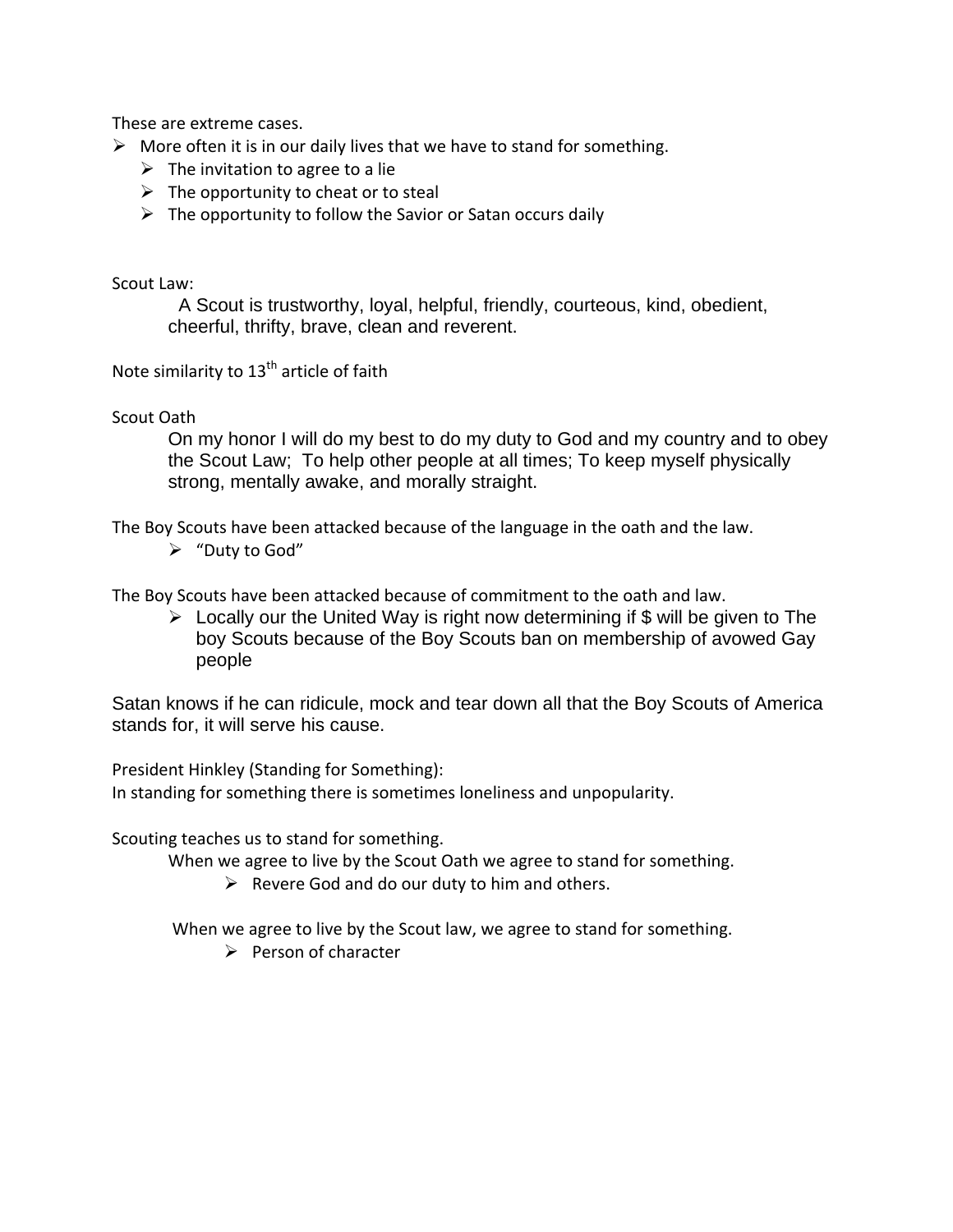These are extreme cases.

- $\triangleright$  More often it is in our daily lives that we have to stand for something.
	- $\triangleright$  The invitation to agree to a lie
	- $\triangleright$  The opportunity to cheat or to steal
	- $\triangleright$  The opportunity to follow the Savior or Satan occurs daily

Scout Law:

 A Scout is trustworthy, loyal, helpful, friendly, courteous, kind, obedient, cheerful, thrifty, brave, clean and reverent.

Note similarity to  $13<sup>th</sup>$  article of faith

Scout Oath

On my honor I will do my best to do my duty to God and my country and to obey the Scout Law; To help other people at all times; To keep myself physically strong, mentally awake, and morally straight.

The Boy Scouts have been attacked because of the language in the oath and the law.

 $\triangleright$  "Duty to God"

The Boy Scouts have been attacked because of commitment to the oath and law.

 $\triangleright$  Locally our the United Way is right now determining if \$ will be given to The boy Scouts because of the Boy Scouts ban on membership of avowed Gay people

Satan knows if he can ridicule, mock and tear down all that the Boy Scouts of America stands for, it will serve his cause.

President Hinkley (Standing for Something):

In standing for something there is sometimes loneliness and unpopularity.

Scouting teaches us to stand for something.

When we agree to live by the Scout Oath we agree to stand for something.

 $\triangleright$  Revere God and do our duty to him and others.

When we agree to live by the Scout law, we agree to stand for something.

 $\triangleright$  Person of character